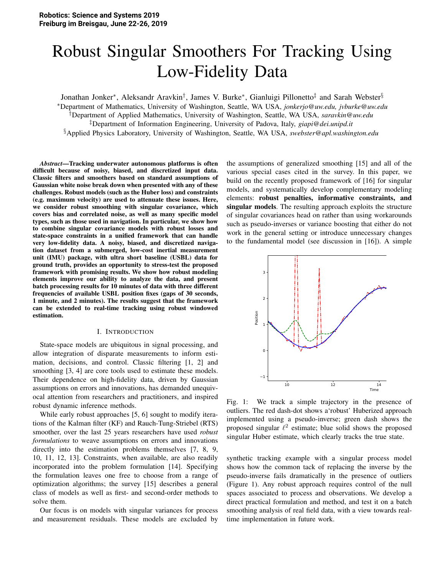# Robust Singular Smoothers For Tracking Using Low-Fidelity Data

Jonathan Jonker\*, Aleksandr Aravkin<sup>†</sup>, James V. Burke\*, Gianluigi Pillonetto<sup>‡</sup> and Sarah Webster<sup>§</sup>

<sup>∗</sup>Department of Mathematics, University of Washington, Seattle, WA USA, *jonkerjo@uw.edu, jvburke@uw.edu*

†Department of Applied Mathematics, University of Washington, Seattle, WA USA, *saravkin@uw.edu*

‡Department of Information Engineering, University of Padova, Italy, *giapi@dei.unipd.it*

§Applied Physics Laboratory, University of Washington, Seattle, WA USA, *swebster@apl.washington.edu*

*Abstract*—Tracking underwater autonomous platforms is often difficult because of noisy, biased, and discretized input data. Classic filters and smoothers based on standard assumptions of Gaussian white noise break down when presented with any of these challenges. Robust models (such as the Huber loss) and constraints (e.g. maximum velocity) are used to attenuate these issues. Here, we consider robust smoothing with singular covariance, which covers bias and correlated noise, as well as many specific model types, such as those used in navigation. In particular, we show how to combine singular covariance models with robust losses and state-space constraints in a unified framework that can handle very low-fidelity data. A noisy, biased, and discretized navigation dataset from a submerged, low-cost inertial measurement unit (IMU) package, with ultra short baseline (USBL) data for ground truth, provides an opportunity to stress-test the proposed framework with promising results. We show how robust modeling elements improve our ability to analyze the data, and present batch processing results for 10 minutes of data with three different frequencies of available USBL position fixes (gaps of 30 seconds, 1 minute, and 2 minutes). The results suggest that the framework can be extended to real-time tracking using robust windowed estimation.

### I. INTRODUCTION

State-space models are ubiquitous in signal processing, and allow integration of disparate measurements to inform estimation, decisions, and control. Classic filtering [1, 2] and smoothing [3, 4] are core tools used to estimate these models. Their dependence on high-fidelity data, driven by Gaussian assumptions on errors and innovations, has demanded unequivocal attention from researchers and practitioners, and inspired robust dynamic inference methods.

While early robust approaches [5, 6] sought to modify iterations of the Kalman filter (KF) and Rauch-Tung-Striebel (RTS) smoother, over the last 25 years researchers have used *robust formulations* to weave assumptions on errors and innovations directly into the estimation problems themselves [7, 8, 9, 10, 11, 12, 13]. Constraints, when available, are also readily incorporated into the problem formulation [14]. Specifying the formulation leaves one free to choose from a range of optimization algorithms; the survey [15] describes a general class of models as well as first- and second-order methods to solve them.

Our focus is on models with singular variances for process and measurement residuals. These models are excluded by the assumptions of generalized smoothing [15] and all of the various special cases cited in the survey. In this paper, we build on the recently proposed framework of [16] for singular models, and systematically develop complementary modeling elements: robust penalties, informative constraints, and singular models. The resulting approach exploits the structure of singular covariances head on rather than using workarounds such as pseudo-inverses or variance boosting that either do not work in the general setting or introduce unnecessary changes to the fundamental model (see discussion in [16]). A simple



Fig. 1: We track a simple trajectory in the presence of outliers. The red dash-dot shows a'robust' Huberized approach implemented using a pseudo-inverse; green dash shows the proposed singular  $\ell^2$  estimate; blue solid shows the proposed singular Huber estimate, which clearly tracks the true state.

synthetic tracking example with a singular process model shows how the common tack of replacing the inverse by the pseudo-inverse fails dramatically in the presence of outliers (Figure 1). Any robust approach requires control of the null spaces associated to process and observations. We develop a direct practical formulation and method, and test it on a batch smoothing analysis of real field data, with a view towards realtime implementation in future work.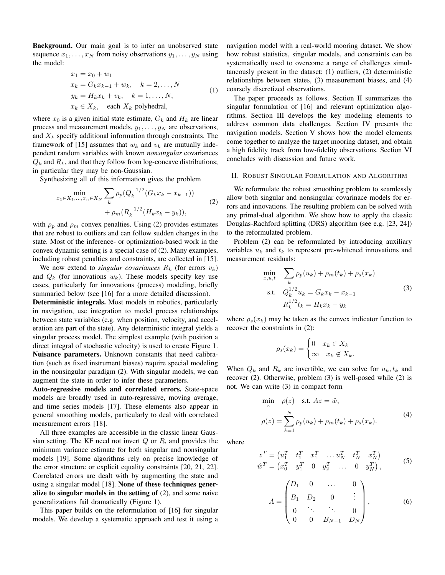**Background.** Our main goal is to infer an unobserved state sequence  $x_1, \ldots, x_N$  from noisy observations  $y_1, \ldots, y_N$  using the model:

$$
x_1 = x_0 + w_1
$$
  
\n
$$
x_k = G_k x_{k-1} + w_k, \quad k = 2, ..., N
$$
  
\n
$$
y_k = H_k x_k + v_k, \quad k = 1, ..., N,
$$
  
\n
$$
x_k \in X_k, \quad \text{each } X_k \text{ polykedral,}
$$
\n(1)

where  $x_0$  is a given initial state estimate,  $G_k$  and  $H_k$  are linear process and measurement models,  $y_1, \ldots, y_N$  are observations, and  $X_k$  specify additional information through constraints. The framework of [15] assumes that  $w_k$  and  $v_k$  are mutually independent random variables with known *nonsingular* covariances  $Q_k$  and  $R_k$ , and that they follow from log-concave distributions; in particular they may be non-Gaussian.

Synthesizing all of this information gives the problem

$$
\min_{x_1 \in X_1, \dots, x_n \in X_N} \sum_{k} \rho_p(Q_k^{-1/2}(G_k x_k - x_{k-1})) + \rho_m(R_k^{-1/2}(H_k x_k - y_k)), \tag{2}
$$

with  $\rho_p$  and  $\rho_m$  convex penalties. Using (2) provides estimates that are robust to outliers and can follow sudden changes in the state. Most of the inference- or optimization-based work in the convex dynamic setting is a special case of (2). Many examples, including robust penalties and constraints, are collected in [15].

We now extend to *singular covariances*  $R_k$  (for errors  $v_k$ ) and  $Q_k$  (for innovations  $w_k$ ). These models specify key use cases, particularly for innovations (process) modeling, briefly summaried below (see [16] for a more detailed discussion).

Deterministic integrals. Most models in robotics, particularly in navigation, use integration to model process relationships between state variables (e.g. when position, velocity, and acceleration are part of the state). Any deterministic integral yields a singular process model. The simplest example (with position a direct integral of stochastic velocity) is used to create Figure 1. Nuisance parameters. Unknown constants that need calibration (such as fixed instrument biases) require special modeling in the nonsingular paradigm (2). With singular models, we can augment the state in order to infer these parameters.

Auto-regressive models and correlated errors. State-space models are broadly used in auto-regressive, moving average, and time series models [17]. These elements also appear in general smoothing models, particularly to deal with correlated measurement errors [18].

All three examples are accessible in the classic linear Gaussian setting. The KF need not invert  $Q$  or  $R$ , and provides the minimum variance estimate for both singular and nonsingular models [19]. Some algorithms rely on precise knowledge of the error structure or explicit equality constraints [20, 21, 22]. Correlated errors are dealt with by augmenting the state and using a singular model [18]. None of these techniques generalize to singular models in the setting of  $(2)$ , and some naive generalizations fail dramatically (Figure 1).

This paper builds on the reformulation of [16] for singular models. We develop a systematic approach and test it using a navigation model with a real-world mooring dataset. We show how robust statistics, singular models, and constraints can be systematically used to overcome a range of challenges simultaneously present in the dataset:  $(1)$  outliers,  $(2)$  deterministic relationships between states, (3) measurement biases, and (4) coarsely discretized observations.

The paper proceeds as follows. Section II summarizes the singular formulation of [16] and relevant optimization algorithms. Section III develops the key modeling elements to address common data challenges. Section IV presents the navigation models. Section V shows how the model elements come together to analyze the target mooring dataset, and obtain a high fidelity track from low-fidelity observations. Section VI concludes with discussion and future work.

#### II. ROBUST SINGULAR FORMULATION AND ALGORITHM

We reformulate the robust smoothing problem to seamlessly allow both singular and nonsingular covarinace models for errors and innovations. The resulting problem can be solved with any primal-dual algorithm. We show how to apply the classic Douglas-Rachford splitting (DRS) algorithm (see e.g. [23, 24]) to the reformulated problem.

Problem (2) can be reformulated by introducing auxiliary variables  $u_k$  and  $t_k$  to represent pre-whitened innovations and measurement residuals:

$$
\min_{x,u,t} \sum_{k} \rho_p(u_k) + \rho_m(t_k) + \rho_s(x_k)
$$
\n
$$
\text{s.t.} \quad Q_k^{1/2} u_k = G_k x_k - x_{k-1}
$$
\n
$$
R_k^{1/2} t_k = H_k x_k - y_k
$$
\n
$$
(3)
$$

where  $\rho_s(x_k)$  may be taken as the convex indicator function to recover the constraints in (2):

$$
\rho_s(x_k) = \begin{cases} 0 & x_k \in X_k \\ \infty & x_k \notin X_k. \end{cases}
$$

When  $Q_k$  and  $R_k$  are invertible, we can solve for  $u_k, t_k$  and recover  $(2)$ . Otherwise, problem  $(3)$  is well-posed while  $(2)$  is not. We can write (3) in compact form

$$
\min_{z} \quad \rho(z) \quad \text{s.t. } Az = \hat{w},
$$
\n
$$
\rho(z) = \sum_{k=1}^{N} \rho_p(u_k) + \rho_m(t_k) + \rho_s(x_k).
$$
\n(4)

where

$$
z^{T} = (u_{1}^{T} \t t_{1}^{T} x_{1}^{T} ... u_{N}^{T} t_{N}^{T} x_{N}^{T})
$$
  
\n
$$
\hat{w}^{T} = (x_{0}^{T} y_{1}^{T} 0 y_{2}^{T} ... 0 y_{N}^{T}),
$$
\n(5)

$$
A = \begin{pmatrix} D_1 & 0 & \dots & 0 \\ B_1 & D_2 & 0 & \vdots \\ 0 & \ddots & \ddots & 0 \\ 0 & 0 & B_{N-1} & D_N \end{pmatrix}, \quad (6)
$$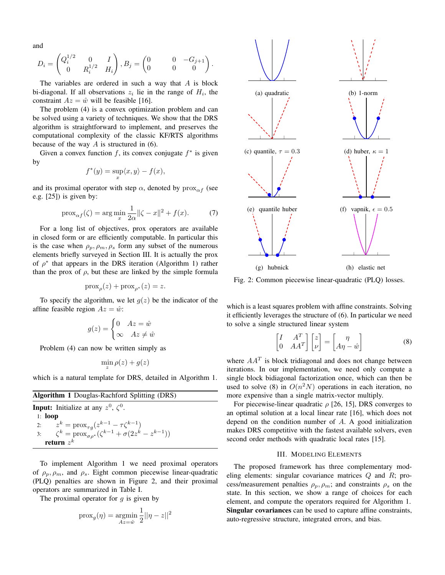and

$$
D_i = \begin{pmatrix} Q_i^{1/2} & 0 & I \\ 0 & R_i^{1/2} & H_i \end{pmatrix}, B_j = \begin{pmatrix} 0 & 0 & -G_{j+1} \\ 0 & 0 & 0 \end{pmatrix}.
$$

The variables are ordered in such a way that  $A$  is block bi-diagonal. If all observations  $z_i$  lie in the range of  $H_i$ , the constraint  $Az = \hat{w}$  will be feasible [16].

The problem (4) is a convex optimization problem and can be solved using a variety of techniques. We show that the DRS algorithm is straightforward to implement, and preserves the computational complexity of the classic KF/RTS algorithms because of the way  $A$  is structured in (6).

Given a convex function f, its convex conjugate  $f^*$  is given by

$$
f^*(y) = \sup_x \langle x, y \rangle - f(x),
$$

and its proximal operator with step  $\alpha$ , denoted by  $prox_{\alpha f}$  (see e.g.  $[25]$ ) is given by:

$$
\text{prox}_{\alpha f}(\zeta) = \arg \min_{x} \frac{1}{2\alpha} ||\zeta - x||^2 + f(x). \tag{7}
$$

For a long list of objectives, prox operators are available in closed form or are efficiently computable. In particular this is the case when  $\rho_p$ ,  $\rho_m$ ,  $\rho_s$  form any subset of the numerous elements briefly surveyed in Section III. It is actually the prox of  $\rho^*$  that appears in the DRS iteration (Algorithm 1) rather than the prox of  $\rho$ , but these are linked by the simple formula

$$
\operatorname{prox}_{\rho}(z) + \operatorname{prox}_{\rho^*}(z) = z.
$$

To specify the algorithm, we let  $q(z)$  be the indicator of the affine feasible region  $Az = \hat{w}$ :

$$
g(z) = \begin{cases} 0 & Az = \hat{w} \\ \infty & Az \neq \hat{w} \end{cases}
$$

Problem (4) can now be written simply as

$$
\min \rho(z) + g(z)
$$

which is a natural template for DRS, detailed in Algorithm 1.

| <b>Algorithm 1</b> Douglas-Rachford Splitting (DRS)                                                                                             |  |  |
|-------------------------------------------------------------------------------------------------------------------------------------------------|--|--|
| <b>Input:</b> Initialize at any $z^0$ , $\zeta^0$ .                                                                                             |  |  |
| 1: $loop$                                                                                                                                       |  |  |
|                                                                                                                                                 |  |  |
| 2: $z^k = \text{prox}_{\tau g}(z^{k-1} - \tau \zeta^{k-1})$<br>3: $\zeta^k = \text{prox}_{\sigma \rho^*}(\zeta^{k-1} + \sigma(2z^k - z^{k-1}))$ |  |  |
| return $z^k$                                                                                                                                    |  |  |

To implement Algorithm 1 we need proximal operators of  $\rho_p$ ,  $\rho_m$ , and  $\rho_s$ . Eight common piecewise linear-quadratic (PLQ) penalties are shown in Figure 2, and their proximal operators are summarized in Table I.

The proximal operator for  $g$  is given by

$$
\operatorname{prox}_{g}(\eta) = \operatorname*{argmin}_{Az = \hat{w}} \frac{1}{2} ||\eta - z||^2
$$



Fig. 2: Common piecewise linear-quadratic (PLQ) losses.

which is a least squares problem with affine constraints. Solving it efficiently leverages the structure of (6). In particular we need to solve a single structured linear system

$$
\begin{bmatrix} I & A^T \ 0 & AA^T \end{bmatrix} \begin{bmatrix} z \\ \nu \end{bmatrix} = \begin{bmatrix} \eta \\ A\eta - \hat{w} \end{bmatrix}
$$
 (8)

where  $AA<sup>T</sup>$  is block tridiagonal and does not change between iterations. In our implementation, we need only compute a single block bidiagonal factorization once, which can then be used to solve (8) in  $O(n^2N)$  operations in each iteration, no more expensive than a single matrix-vector multiply.

For piecewise-linear quadratic  $\rho$  [26, 15], DRS converges to an optimal solution at a local linear rate [16], which does not depend on the condition number of  $A$ . A good initialization makes DRS competitive with the fastest available solvers, even second order methods with quadratic local rates [15].

# **III. MODELING ELEMENTS**

The proposed framework has three complementary modeling elements: singular covariance matrices  $Q$  and  $R$ ; process/measurement penalties  $\rho_p, \rho_m$ ; and constraints  $\rho_s$  on the state. In this section, we show a range of choices for each element, and compute the operators required for Algorithm 1. Singular covariances can be used to capture affine constraints, auto-regressive structure, integrated errors, and bias.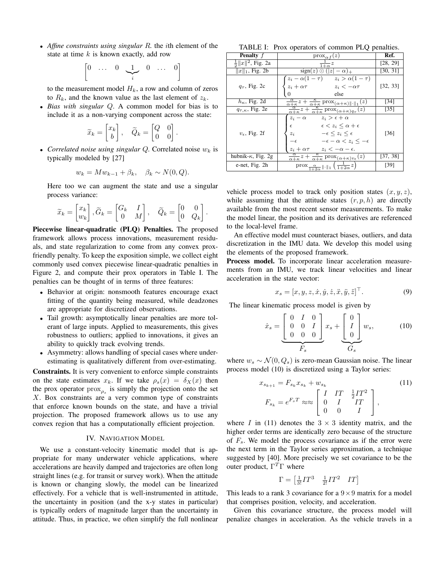• Affine constraints using singular  $R$ , the *i*th element of the state at time  $k$  is known exactly, add row

$$
\left[\begin{matrix} 0 & \dots & 0 & \underbrace{1}_{i} & 0 & \dots & 0 \end{matrix}\right]
$$

to the measurement model  $H_k$ , a row and column of zeros to  $R_k$ , and the known value as the last element of  $z_k$ .

• Bias with singular  $Q$ . A common model for bias is to include it as a non-varying component across the state:

$$
\widetilde{x}_k = \begin{bmatrix} x_k \\ b \end{bmatrix}, \quad \widetilde{Q}_k = \begin{bmatrix} Q & 0 \\ 0 & 0 \end{bmatrix}.
$$

• Correlated noise using singular Q. Correlated noise  $w_k$  is typically modeled by [27]

$$
w_k = Mw_{k-1} + \beta_k, \quad \beta_k \sim N(0, Q).
$$

Here too we can augment the state and use a singular process variance:

$$
\widetilde{x}_k = \begin{bmatrix} x_k \\ w_k \end{bmatrix}, \widetilde{G}_k = \begin{bmatrix} G_k & I \\ 0 & M \end{bmatrix}, \quad \widetilde{Q}_k = \begin{bmatrix} 0 & 0 \\ 0 & Q_k \end{bmatrix}.
$$

**Piecewise linear-quadratic (PLQ) Penalties.** The proposed framework allows process innovations, measurement residuals, and state regularization to come from any convex proxfriendly penalty. To keep the exposition simple, we collect eight commonly used convex piecewise linear-quadratic penalties in Figure 2, and compute their prox operators in Table I. The penalties can be thought of in terms of three features:

- Behavior at origin: nonsmooth features encourage exact fitting of the quantity being measured, while deadzones are appropriate for discretized observations.
- Tail growth: asymptotically linear penalties are more tolerant of large inputs. Applied to measurements, this gives robustness to outliers; applied to innovations, it gives an ability to quickly track evolving trends.
- Asymmetry: allows handling of special cases where underestimating is qualitatively different from over-estimating.

Constraints. It is very convenient to enforce simple constraints on the state estimates  $x_k$ . If we take  $\rho_s(x) = \delta_X(x)$  then the prox operator  $prox_{\rho_{\varepsilon}}$  is simply the projection onto the set  $X$ . Box constraints are a very common type of constraints that enforce known bounds on the state, and have a trivial projection. The proposed framework allows us to use any convex region that has a computationally efficient projection.

# IV. NAVIGATION MODEL

We use a constant-velocity kinematic model that is appropriate for many underwater vehicle applications, where accelerations are heavily damped and trajectories are often long straight lines (e.g. for transit or survey work). When the attitude is known or changing slowly, the model can be linearized effectively. For a vehicle that is well-instrumented in attitude, the uncertainty in position (and the x-y states in particular) is typically orders of magnitude larger than the uncertainty in attitude. Thus, in practice, we often simplify the full nonlinear

TABLE I: Prox operators of common PLQ penalties.

| <b>Penalty</b> $f$             | $prox_{\alpha f}(z)$                                                                                                                                                                                                                                           | Ref.     |
|--------------------------------|----------------------------------------------------------------------------------------------------------------------------------------------------------------------------------------------------------------------------------------------------------------|----------|
| $\frac{1}{2}  x  ^2$ , Fig. 2a | $\frac{1}{1+\alpha}z$                                                                                                                                                                                                                                          | [28, 29] |
| $  x  _1$ , Fig. 2b            | $sign(z) \odot ( z  - \alpha)_{+}$                                                                                                                                                                                                                             | [30, 31] |
| $q_{\tau}$ , Fig. 2c           | $z_i - \alpha(1-\tau)$ $z_i > \alpha(1-\tau)$<br>$z_i + \alpha \tau$<br>$z_i < -\alpha\tau$<br>else<br>$\theta$                                                                                                                                                | [32, 33] |
| $h_{\kappa}$ , Fig. 2d         | $\frac{\alpha}{\alpha+\kappa}z+\frac{\kappa}{\alpha+\kappa}$ prox $(\alpha+\kappa)\ \cdot\ _1(z)$                                                                                                                                                              | [34]     |
| $q_{\tau,\kappa}$ , Fig. 2e    | $\frac{\alpha}{\alpha+\kappa}z+\frac{\kappa}{\alpha+\kappa}$ prox $_{(\alpha+\kappa)q_{\tau}}(z)$                                                                                                                                                              | [35]     |
| $v_{\epsilon}$ , Fig. 2f       | $z_i - \alpha$ $z_i > \epsilon + \alpha$<br>$\epsilon < z_i \leq \alpha + \epsilon$<br>$\epsilon$<br>$-\epsilon \leq z_i \leq \epsilon$<br>$z_i$<br>$-\epsilon-\alpha < z_i \leq -\epsilon$<br>$-\epsilon$<br>$z_i + \alpha \tau$ $z_i < -\alpha - \epsilon$ . | $[36]$   |
| hubnik- $\kappa$ , Fig. 2g     | $\frac{\alpha}{\alpha+\kappa}z+\frac{\kappa}{\alpha+\kappa}$ prox $_{(\alpha+\kappa)v_{\epsilon}}(z)$                                                                                                                                                          | [37, 38] |
| e-net, Fig. 2h                 | $\frac{\alpha}{1+2\alpha}$   .  1 $\left(\frac{1}{1+2\alpha}z\right)$                                                                                                                                                                                          | [39]     |

vehicle process model to track only position states  $(x, y, z)$ , while assuming that the attitude states  $(r, p, h)$  are directly available from the most recent sensor measurements. To make the model linear, the position and its derivatives are referenced to the local-level frame.

An effective model must counteract biases, outliers, and data discretization in the IMU data. We develop this model using the elements of the proposed framework.

Process model. To incorporate linear acceleration measurements from an IMU, we track linear velocities and linear acceleration in the state vector:

$$
x_s = [x, y, z, \dot{x}, \dot{y}, \dot{z}, \ddot{x}, \ddot{y}, \ddot{z}]^\top.
$$
 (9)

The linear kinematic process model is given by

$$
\dot{x}_s = \underbrace{\begin{bmatrix} 0 & I & 0 \\ 0 & 0 & I \\ 0 & 0 & 0 \end{bmatrix}}_{F_s} x_s + \underbrace{\begin{bmatrix} 0 \\ I \\ 0 \end{bmatrix}}_{G_s} w_s, \tag{10}
$$

where  $w_s \sim \mathcal{N}(0, Q_s)$  is zero-mean Gaussian noise. The linear process model (10) is discretized using a Taylor series:

$$
x_{s_{k+1}} = F_{s_k} x_{s_k} + w_{s_k}
$$
  
\n
$$
F_{s_k} = e^{F_s T} \approx \approx \begin{bmatrix} I & IT & \frac{1}{2}IT^2 \\ 0 & I & IT \\ 0 & 0 & I \end{bmatrix},
$$
\n(11)

where I in (11) denotes the  $3 \times 3$  identity matrix, and the higher order terms are identically zero because of the structure of  $F_s$ . We model the process covariance as if the error were the next term in the Taylor series approximation, a technique suggested by [40]. More precisely we set covariance to be the outer product,  $\Gamma^T \Gamma$  where

$$
\Gamma = \begin{bmatrix} \frac{1}{3!}IT^3 & \frac{1}{2!}IT^2 & IT \end{bmatrix}
$$

This leads to a rank 3 covariance for a  $9 \times 9$  matrix for a model that comprises position, velocity, and acceleration.

Given this covariance structure, the process model will penalize changes in acceleration. As the vehicle travels in a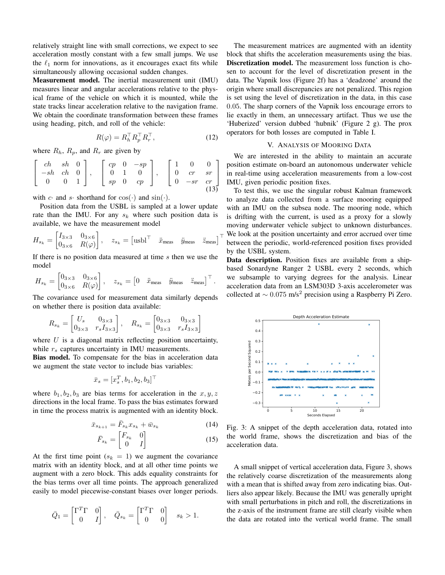relatively straight line with small corrections, we expect to see acceleration mostly constant with a few small jumps. We use the  $\ell_1$  norm for innovations, as it encourages exact fits while simultaneously allowing occasional sudden changes.

Measurement model. The inertial measurement unit (IMU) measures linear and angular accelerations relative to the physical frame of the vehicle on which it is mounted, while the state tracks linear acceleration relative to the navigation frame. We obtain the coordinate transformation between these frames using heading, pitch, and roll of the vehicle:

$$
R(\varphi) = R_h^\top R_p^\top R_r^\top,\tag{12}
$$

where  $R_h$ ,  $R_p$ , and  $R_r$  are given by

$$
\begin{bmatrix} ch & sh & 0 \ -sh & ch & 0 \ 0 & 0 & 1 \end{bmatrix}, \begin{bmatrix} cp & 0 & -sp \ 0 & 1 & 0 \ sp & 0 & cp \end{bmatrix}, \begin{bmatrix} 1 & 0 & 0 \ 0 & cr & sr \ 0 & -sr & cr \end{bmatrix}
$$

with c and s shorthand for  $cos(·)$  and  $sin(·)$ .

Position data from the USBL is sampled at a lower update rate than the IMU. For any  $s_k$  where such position data is available, we have the measurement model

$$
H_{s_k} = \begin{bmatrix} I_{3\times 3} & 0_{3\times 6} \\ 0_{3\times 6} & R(\varphi) \end{bmatrix}, \quad z_{s_k} = \begin{bmatrix} \text{usbl}^\top & \ddot{x}_{\text{meas}} & \ddot{y}_{\text{meas}} & \ddot{z}_{\text{meas}} \end{bmatrix}^\top
$$

If there is no position data measured at time  $s$  then we use the model

$$
H_{s_k} = \begin{bmatrix} 0_{3\times 3} & 0_{3\times 6} \\ 0_{3\times 6} & R(\varphi) \end{bmatrix}, \quad z_{s_k} = \begin{bmatrix} 0 & \ddot{x}_{\text{meas}} & \ddot{y}_{\text{meas}} & \ddot{z}_{\text{meas}} \end{bmatrix}^\top.
$$

The covariance used for measurement data similarly depends on whether there is position data available:

$$
R_{s_k} = \begin{bmatrix} U_s & 0_{3 \times 3} \\ 0_{3 \times 3} & r_s I_{3 \times 3} \end{bmatrix}, \quad R_{s_k} = \begin{bmatrix} 0_{3 \times 3} & 0_{3 \times 3} \\ 0_{3 \times 3} & r_s I_{3 \times 3} \end{bmatrix}
$$

where  $U$  is a diagonal matrix reflecting position uncertainty, while  $r_s$  captures uncertainty in IMU measurements.

Bias model. To compensate for the bias in acceleration data we augment the state vector to include bias variables:

$$
\bar{x}_s = [x_s^T, b_1, b_2, b_3]^{\top}
$$

where  $b_1, b_2, b_3$  are bias terms for acceleration in the  $x, y, z$ directions in the local frame. To pass the bias estimates forward in time the process matrix is augmented with an identity block.

$$
\bar{x}_{s_{k+1}} = \bar{F}_{s_k} x_{s_k} + \bar{w}_{s_k}
$$
\n<sup>(14)</sup>

$$
\bar{F}_{s_k} = \begin{bmatrix} F_{s_k} & 0 \\ 0 & I \end{bmatrix} \tag{15}
$$

At the first time point  $(s_k = 1)$  we augment the covariance matrix with an identity block, and at all other time points we augment with a zero block. This adds equality constraints for the bias terms over all time points. The approach generalized easily to model piecewise-constant biases over longer periods.

$$
\bar{Q}_1 = \begin{bmatrix} \Gamma^T \Gamma & 0 \\ 0 & I \end{bmatrix}, \quad \bar{Q}_{s_k} = \begin{bmatrix} \Gamma^T \Gamma & 0 \\ 0 & 0 \end{bmatrix} \quad s_k > 1.
$$

The measurement matrices are augmented with an identity block that shifts the acceleration measurements using the bias. Discretization model. The measurement loss function is chosen to account for the level of discretization present in the data. The Vapnik loss (Figure 2f) has a 'deadzone' around the origin where small discrepancies are not penalized. This region is set using the level of discretization in the data, in this case 0.05. The sharp corners of the Vapnik loss encourage errors to lie exactly in them, an unnecessary artifact. Thus we use the 'Huberized' version dubbed 'hubnik' (Figure 2 g). The prox operators for both losses are computed in Table I.

#### V. ANALYSIS OF MOORING DATA

We are interested in the ability to maintain an accurate position estimate on-board an autonomous underwater vehicle in real-time using acceleration measurements from a low-cost IMU, given periodic position fixes.

To test this, we use the singular robust Kalman framework to analyze data collected from a surface mooring equipped with an IMU on the subsea node. The mooring node, which is drifting with the current, is used as a proxy for a slowly moving underwater vehicle subject to unknown disturbances.  $\tau$  We look at the position uncertainty and error accrued over time between the periodic, world-referenced position fixes provided by the USBL system.

Data description. Position fixes are available from a shipbased Sonardyne Ranger 2 USBL every 2 seconds, which we subsample to varying degrees for the analysis. Linear acceleration data from an LSM303D 3-axis accelerometer was collected at  $\sim 0.075$  m/s<sup>2</sup> precision using a Raspberry Pi Zero.



Fig. 3: A snippet of the depth acceleration data, rotated into the world frame, shows the discretization and bias of the acceleration data.

A small snippet of vertical acceleration data, Figure 3, shows the relatively coarse discretization of the measurements along with a mean that is shifted away from zero indicating bias. Outliers also appear likely. Because the IMU was generally upright with small perturbations in pitch and roll, the discretizations in the z-axis of the instrument frame are still clearly visible when the data are rotated into the vertical world frame. The small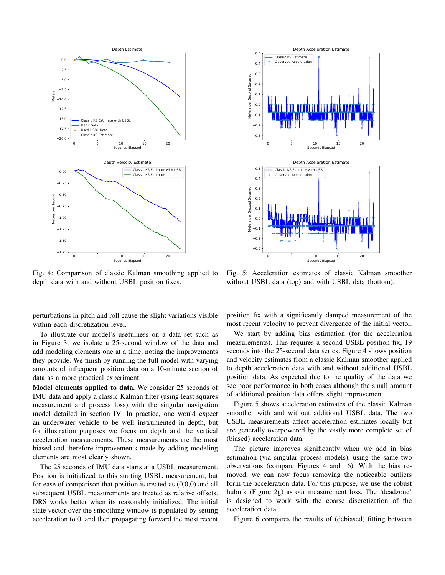

Fig. 4: Comparison of classic Kalman smoothing applied to depth data with and without USBL position fixes.

Depth Acceleration Estimate  $0.5$ Classic KS Estimate Observed Acceleration  $0.4$  $0.3$ Second Squared  $0.2$  $0.1$ Meters per  $0.0$  $-0.1$  $-0.2$  $-0<sup>2</sup>$  $\overline{0}$  $10^{-}$ is.  $2n$ Seconds Elap Depth Acceleration Estimate  $0.5$ Classic KS Estimate with USBI Observed Acceleration  $0.4$ per Second Squared  $0.3$  $0.2$  $0.1$  $0.\overline{0}$  $-0.1$  $-0.2$  $-0.3$  $10$  $\overline{20}$ 15

Fig. 5: Acceleration estimates of classic Kalman smoother without USBL data (top) and with USBL data (bottom).

perturbations in pitch and roll cause the slight variations visible within each discretization level.

To illustrate our model's usefulness on a data set such as in Figure 3, we isolate a 25-second window of the data and add modeling elements one at a time, noting the improvements they provide. We finish by running the full model with varying amounts of infrequent position data on a 10-minute section of data as a more practical experiment.

Model elements applied to data. We consider 25 seconds of IMU data and apply a classic Kalman filter (using least squares measurement and process loss) with the singular navigation model detailed in section IV. In practice, one would expect an underwater vehicle to be well instrumented in depth, but for illustration purposes we focus on depth and the vertical acceleration measurements. These measurements are the most biased and therefore improvements made by adding modeling elements are most clearly shown.

The 25 seconds of IMU data starts at a USBL measurement. Position is initialized to this starting USBL measurement, but for ease of comparison that position is treated as  $(0,0,0)$  and all subsequent USBL measurements are treated as relative offsets. DRS works better when its reasonably initialized. The initial state vector over the smoothing window is populated by setting acceleration to 0, and then propagating forward the most recent position fix with a significantly damped measurement of the most recent velocity to prevent divergence of the initial vector.

We start by adding bias estimation (for the acceleration measurements). This requires a second USBL position fix, 19 seconds into the 25-second data series. Figure 4 shows position and velocity estimates from a classic Kalman smoother applied to depth acceleration data with and without additional USBL position data. As expected due to the quality of the data we see poor performance in both cases although the small amount of additional position data offers slight improvement.

Figure 5 shows acceleration estimates of the classic Kalman smoother with and without additional USBL data. The two USBL measurements affect acceleration estimates locally but are generally overpowered by the vastly more complete set of (biased) acceleration data.

The picture improves significantly when we add in bias estimation (via singular process models), using the same two observations (compare Figures 4 and 6). With the bias removed, we can now focus removing the noticeable outliers form the acceleration data. For this purpose, we use the robust hubnik (Figure 2g) as our measurement loss. The 'deadzone' is designed to work with the coarse discretization of the acceleration data.

Figure 6 compares the results of (debiased) fitting between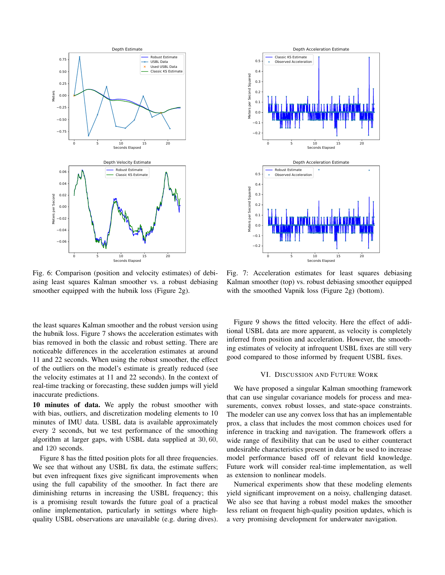

Fig. 6: Comparison (position and velocity estimates) of debiasing least squares Kalman smoother vs. a robust debiasing smoother equipped with the hubnik loss (Figure 2g).

the least squares Kalman smoother and the robust version using the hubnik loss. Figure 7 shows the acceleration estimates with bias removed in both the classic and robust setting. There are noticeable differences in the acceleration estimates at around 11 and 22 seconds. When using the robust smoother, the effect of the outliers on the model's estimate is greatly reduced (see the velocity estimates at 11 and 22 seconds). In the context of real-time tracking or forecasting, these sudden jumps will yield inaccurate predictions.

10 minutes of data. We apply the robust smoother with with bias, outliers, and discretization modeling elements to 10 minutes of IMU data. USBL data is available approximately every 2 seconds, but we test performance of the smoothing algorithm at larger gaps, with USBL data supplied at 30,60, and 120 seconds.

Figure 8 has the fitted position plots for all three frequencies. We see that without any USBL fix data, the estimate suffers; but even infrequent fixes give significant improvements when using the full capability of the smoother. In fact there are diminishing returns in increasing the USBL frequency; this is a promising result towards the future goal of a practical online implementation, particularly in settings where highquality USBL observations are unavailable (e.g. during dives).



Fig. 7: Acceleration estimates for least squares debiasing Kalman smoother (top) vs. robust debiasing smoother equipped with the smoothed Vapnik loss (Figure 2g) (bottom).

Figure 9 shows the fitted velocity. Here the effect of additional USBL data are more apparent, as velocity is completely inferred from position and acceleration. However, the smoothing estimates of velocity at infrequent USBL fixes are still very good compared to those informed by frequent USBL fixes.

# VI. DISCUSSION AND FUTURE WORK

We have proposed a singular Kalman smoothing framework that can use singular covariance models for process and measurements, convex robust losses, and state-space constraints. The modeler can use any convex loss that has an implementable prox, a class that includes the most common choices used for inference in tracking and navigation. The framework offers a wide range of flexibility that can be used to either counteract undesirable characteristics present in data or be used to increase model performance based off of relevant field knowledge. Future work will consider real-time implementation, as well as extension to nonlinear models.

Numerical experiments show that these modeling elements yield significant improvement on a noisy, challenging dataset. We also see that having a robust model makes the smoother less reliant on frequent high-quality position updates, which is a very promising development for underwater navigation.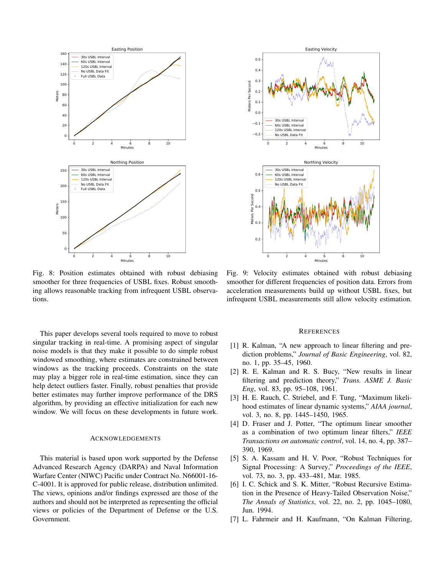

Fig. 8: Position estimates obtained with robust debiasing smoother for three frequencies of USBL fixes. Robust smoothing allows reasonable tracking from infrequent USBL observations.

This paper develops several tools required to move to robust singular tracking in real-time. A promising aspect of singular noise models is that they make it possible to do simple robust windowed smoothing, where estimates are constrained between windows as the tracking proceeds. Constraints on the state may play a bigger role in real-time estimation, since they can help detect outliers faster. Finally, robust penalties that provide better estimates may further improve performance of the DRS algorithm, by providing an effective initialization for each new window. We will focus on these developments in future work.

#### **ACKNOWLEDGEMENTS**

This material is based upon work supported by the Defense Advanced Research Agency (DARPA) and Naval Information Warfare Center (NIWC) Pacific under Contract No. N66001-16-C-4001. It is approved for public release, distribution unlimited. The views, opinions and/or findings expressed are those of the authors and should not be interpreted as representing the official views or policies of the Department of Defense or the U.S. Government.



Fig. 9: Velocity estimates obtained with robust debiasing smoother for different frequencies of position data. Errors from acceleration measurements build up without USBL fixes, but infrequent USBL measurements still allow velocity estimation.

#### **REFERENCES**

- [1] R. Kalman, "A new approach to linear filtering and prediction problems," Journal of Basic Engineering, vol. 82, no. 1, pp. 35-45, 1960.
- [2] R. E. Kalman and R. S. Bucy, "New results in linear filtering and prediction theory," Trans. ASME J. Basic *Eng*, vol. 83, pp. 95–108, 1961.
- [3] H. E. Rauch, C. Striebel, and F. Tung, "Maximum likelihood estimates of linear dynamic systems," AIAA journal, vol. 3, no. 8, pp. 1445-1450, 1965.
- [4] D. Fraser and J. Potter, "The optimum linear smoother as a combination of two optimum linear filters," IEEE Transactions on automatic control, vol. 14, no. 4, pp. 387– 390, 1969.
- [5] S. A. Kassam and H. V. Poor, "Robust Techniques for Signal Processing: A Survey," Proceedings of the IEEE, vol. 73, no. 3, pp. 433-481, Mar. 1985.
- [6] I. C. Schick and S. K. Mitter, "Robust Recursive Estimation in the Presence of Heavy-Tailed Observation Noise," The Annals of Statistics, vol. 22, no. 2, pp. 1045–1080, Jun. 1994.
- [7] L. Fahrmeir and H. Kaufmann, "On Kalman Filtering,